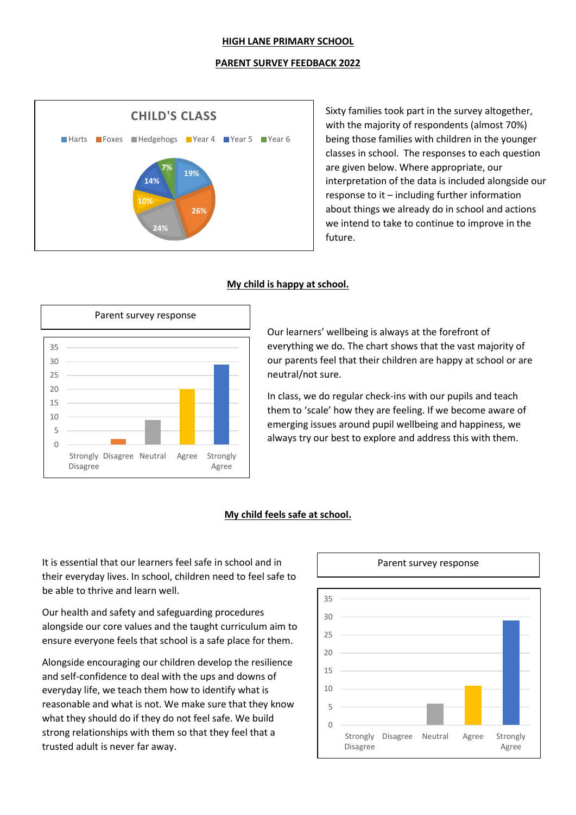#### **HIGH LANE PRIMARY SCHOOL**

#### **PARENT SURVEY FEEDBACK 2022**



Sixty families took part in the survey altogether, with the majority of respondents (almost 70%) being those families with children in the younger classes in school. The responses to each question are given below. Where appropriate, our interpretation of the data is included alongside our response to it – including further information about things we already do in school and actions we intend to take to continue to improve in the future.

#### **My child is happy at school.**



Our learners' wellbeing is always at the forefront of everything we do. The chart shows that the vast majority of our parents feel that their children are happy at school or are neutral/not sure.

In class, we do regular check-ins with our pupils and teach them to 'scale' how they are feeling. If we become aware of emerging issues around pupil wellbeing and happiness, we always try our best to explore and address this with them.

#### **My child feels safe at school.**

It is essential that our learners feel safe in school and in their everyday lives. In school, children need to feel safe to be able to thrive and learn well.

Our health and safety and safeguarding procedures alongside our core values and the taught curriculum aim to ensure everyone feels that school is a safe place for them.

Alongside encouraging our children develop the resilience and self-confidence to deal with the ups and downs of everyday life, we teach them how to identify what is reasonable and what is not. We make sure that they know what they should do if they do not feel safe. We build strong relationships with them so that they feel that a trusted adult is never far away.

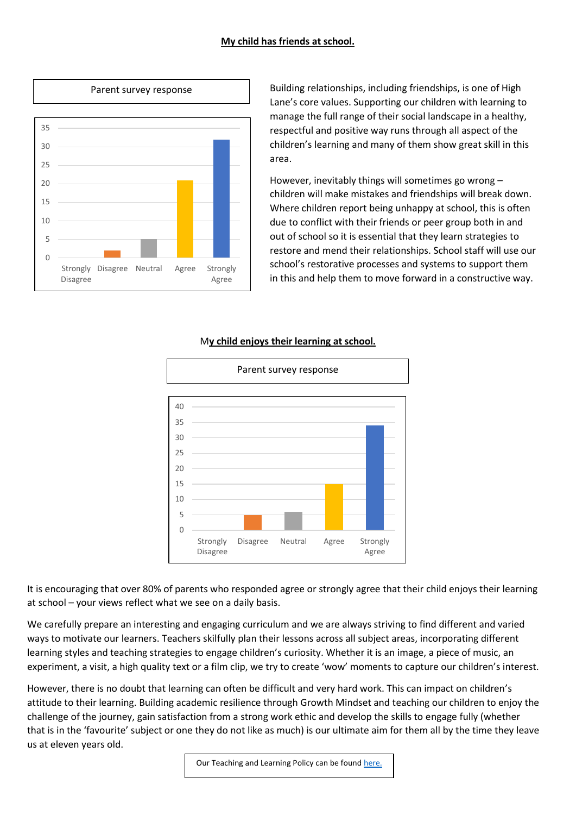## **My child has friends at school.**



Building relationships, including friendships, is one of High Lane's core values. Supporting our children with learning to manage the full range of their social landscape in a healthy, respectful and positive way runs through all aspect of the children's learning and many of them show great skill in this area.

However, inevitably things will sometimes go wrong – children will make mistakes and friendships will break down. Where children report being unhappy at school, this is often due to conflict with their friends or peer group both in and out of school so it is essential that they learn strategies to restore and mend their relationships. School staff will use our school's restorative processes and systems to support them in this and help them to move forward in a constructive way.



## M**y child enjoys their learning at school.**

It is encouraging that over 80% of parents who responded agree or strongly agree that their child enjoys their learning at school – your views reflect what we see on a daily basis.

We carefully prepare an interesting and engaging curriculum and we are always striving to find different and varied ways to motivate our learners. Teachers skilfully plan their lessons across all subject areas, incorporating different learning styles and teaching strategies to engage children's curiosity. Whether it is an image, a piece of music, an experiment, a visit, a high quality text or a film clip, we try to create 'wow' moments to capture our children's interest.

However, there is no doubt that learning can often be difficult and very hard work. This can impact on children's attitude to their learning. Building academic resilience through Growth Mindset and teaching our children to enjoy the challenge of the journey, gain satisfaction from a strong work ethic and develop the skills to engage fully (whether that is in the 'favourite' subject or one they do not like as much) is our ultimate aim for them all by the time they leave us at eleven years old.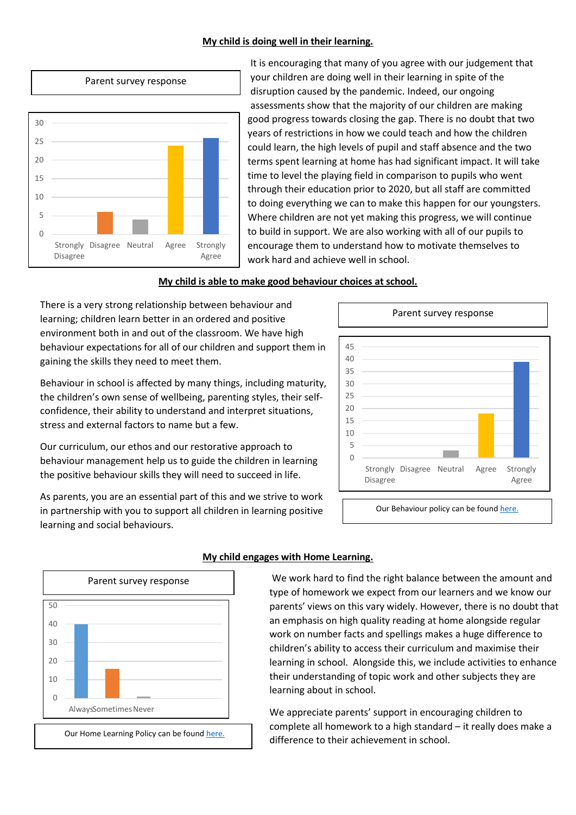#### **My child is doing well in their learning.**



It is encouraging that many of you agree with our judgement that your children are doing well in their learning in spite of the disruption caused by the pandemic. Indeed, our ongoing assessments show that the majority of our children are making good progress towards closing the gap. There is no doubt that two years of restrictions in how we could teach and how the children could learn, the high levels of pupil and staff absence and the two terms spent learning at home has had significant impact. It will take time to level the playing field in comparison to pupils who went through their education prior to 2020, but all staff are committed to doing everything we can to make this happen for our youngsters. Where children are not yet making this progress, we will continue to build in support. We are also working with all of our pupils to encourage them to understand how to motivate themselves to work hard and achieve well in school.

## **My child is able to make good behaviour choices at school.**

There is a very strong relationship between behaviour and learning; children learn better in an ordered and positive environment both in and out of the classroom. We have high behaviour expectations for all of our children and support them in gaining the skills they need to meet them.

Behaviour in school is affected by many things, including maturity, the children's own sense of wellbeing, parenting styles, their selfconfidence, their ability to understand and interpret situations, stress and external factors to name but a few.

Our curriculum, our ethos and our restorative approach to behaviour management help us to guide the children in learning the positive behaviour skills they will need to succeed in life.

As parents, you are an essential part of this and we strive to work in partnership with you to support all children in learning positive learning and social behaviours.



Our Behaviour policy can be foun[d here.](file://///HLP-SR-1.high-lane.internal/RMStaff/Policies/Behaviour%20and%20Discipline%20Policy%202021.pdf)



## **My child engages with Home Learning.**

We work hard to find the right balance between the amount and type of homework we expect from our learners and we know our parents' views on this vary widely. However, there is no doubt that an emphasis on high quality reading at home alongside regular work on number facts and spellings makes a huge difference to children's ability to access their curriculum and maximise their learning in school. Alongside this, we include activities to enhance their understanding of topic work and other subjects they are learning about in school.

We appreciate parents' support in encouraging children to complete all homework to a high standard – it really does make a difference to their achievement in school.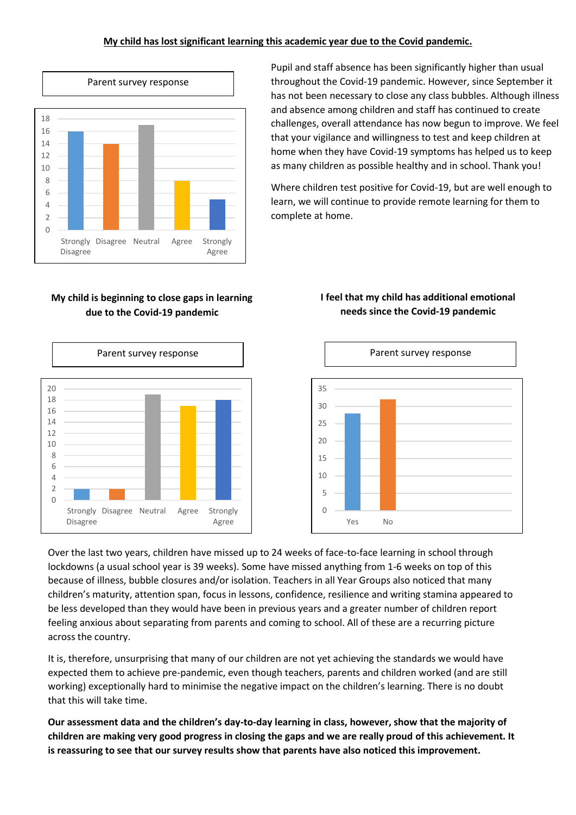## **My child has lost significant learning this academic year due to the Covid pandemic.**



Pupil and staff absence has been significantly higher than usual throughout the Covid-19 pandemic. However, since September it has not been necessary to close any class bubbles. Although illness and absence among children and staff has continued to create challenges, overall attendance has now begun to improve. We feel that your vigilance and willingness to test and keep children at home when they have Covid-19 symptoms has helped us to keep as many children as possible healthy and in school. Thank you!

Where children test positive for Covid-19, but are well enough to learn, we will continue to provide remote learning for them to complete at home.

# **My child is beginning to close gaps in learning due to the Covid-19 pandemic**



# **I feel that my child has additional emotional needs since the Covid-19 pandemic**



Over the last two years, children have missed up to 24 weeks of face-to-face learning in school through lockdowns (a usual school year is 39 weeks). Some have missed anything from 1-6 weeks on top of this because of illness, bubble closures and/or isolation. Teachers in all Year Groups also noticed that many children's maturity, attention span, focus in lessons, confidence, resilience and writing stamina appeared to be less developed than they would have been in previous years and a greater number of children report feeling anxious about separating from parents and coming to school. All of these are a recurring picture across the country.

It is, therefore, unsurprising that many of our children are not yet achieving the standards we would have expected them to achieve pre-pandemic, even though teachers, parents and children worked (and are still working) exceptionally hard to minimise the negative impact on the children's learning. There is no doubt that this will take time.

**Our assessment data and the children's day-to-day learning in class, however, show that the majority of children are making very good progress in closing the gaps and we are really proud of this achievement. It is reassuring to see that our survey results show that parents have also noticed this improvement.**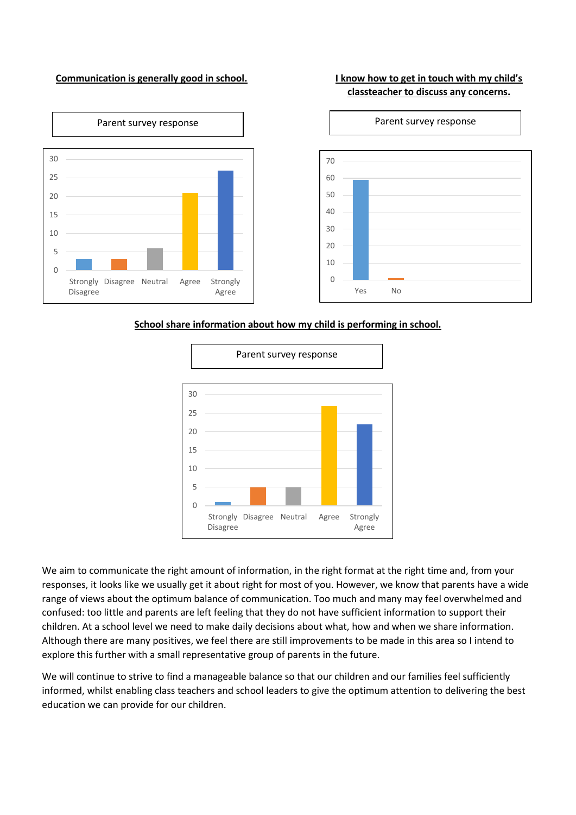#### **Communication is generally good in school. I know how to get in touch with my child's**

# **classteacher to discuss any concerns.**



**School share information about how my child is performing in school.**



We aim to communicate the right amount of information, in the right format at the right time and, from your responses, it looks like we usually get it about right for most of you. However, we know that parents have a wide range of views about the optimum balance of communication. Too much and many may feel overwhelmed and confused: too little and parents are left feeling that they do not have sufficient information to support their children. At a school level we need to make daily decisions about what, how and when we share information. Although there are many positives, we feel there are still improvements to be made in this area so I intend to explore this further with a small representative group of parents in the future.

We will continue to strive to find a manageable balance so that our children and our families feel sufficiently informed, whilst enabling class teachers and school leaders to give the optimum attention to delivering the best education we can provide for our children.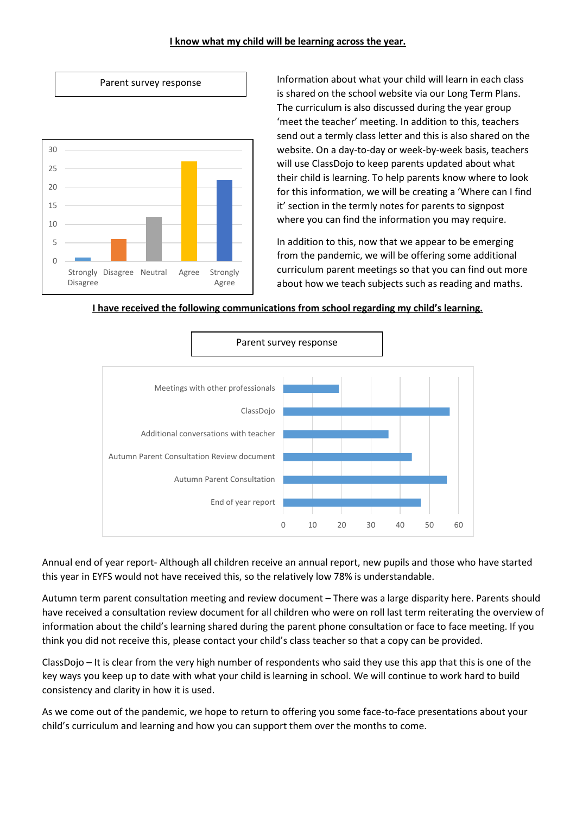#### **I know what my child will be learning across the year.**





Information about what your child will learn in each class is shared on the school website via our Long Term Plans. The curriculum is also discussed during the year group 'meet the teacher' meeting. In addition to this, teachers send out a termly class letter and this is also shared on the website. On a day-to-day or week-by-week basis, teachers will use ClassDojo to keep parents updated about what their child is learning. To help parents know where to look for this information, we will be creating a 'Where can I find it' section in the termly notes for parents to signpost where you can find the information you may require.

In addition to this, now that we appear to be emerging from the pandemic, we will be offering some additional curriculum parent meetings so that you can find out more about how we teach subjects such as reading and maths.





Annual end of year report- Although all children receive an annual report, new pupils and those who have started this year in EYFS would not have received this, so the relatively low 78% is understandable.

Autumn term parent consultation meeting and review document – There was a large disparity here. Parents should have received a consultation review document for all children who were on roll last term reiterating the overview of information about the child's learning shared during the parent phone consultation or face to face meeting. If you think you did not receive this, please contact your child's class teacher so that a copy can be provided.

ClassDojo – It is clear from the very high number of respondents who said they use this app that this is one of the key ways you keep up to date with what your child is learning in school. We will continue to work hard to build consistency and clarity in how it is used.

As we come out of the pandemic, we hope to return to offering you some face-to-face presentations about your child's curriculum and learning and how you can support them over the months to come.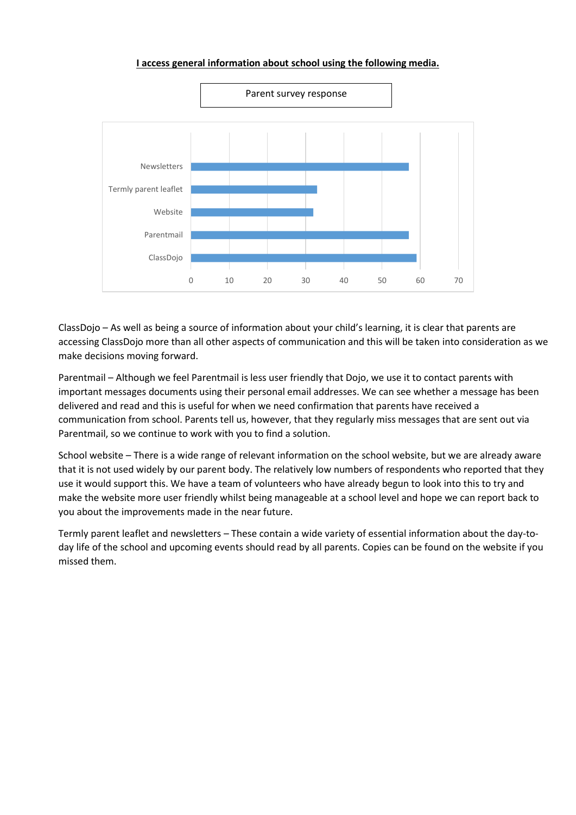# **I access general information about school using the following media.**



ClassDojo – As well as being a source of information about your child's learning, it is clear that parents are accessing ClassDojo more than all other aspects of communication and this will be taken into consideration as we make decisions moving forward.

Parentmail – Although we feel Parentmail is less user friendly that Dojo, we use it to contact parents with important messages documents using their personal email addresses. We can see whether a message has been delivered and read and this is useful for when we need confirmation that parents have received a communication from school. Parents tell us, however, that they regularly miss messages that are sent out via Parentmail, so we continue to work with you to find a solution.

School website – There is a wide range of relevant information on the school website, but we are already aware that it is not used widely by our parent body. The relatively low numbers of respondents who reported that they use it would support this. We have a team of volunteers who have already begun to look into this to try and make the website more user friendly whilst being manageable at a school level and hope we can report back to you about the improvements made in the near future.

Termly parent leaflet and newsletters – These contain a wide variety of essential information about the day-today life of the school and upcoming events should read by all parents. Copies can be found on the website if you missed them.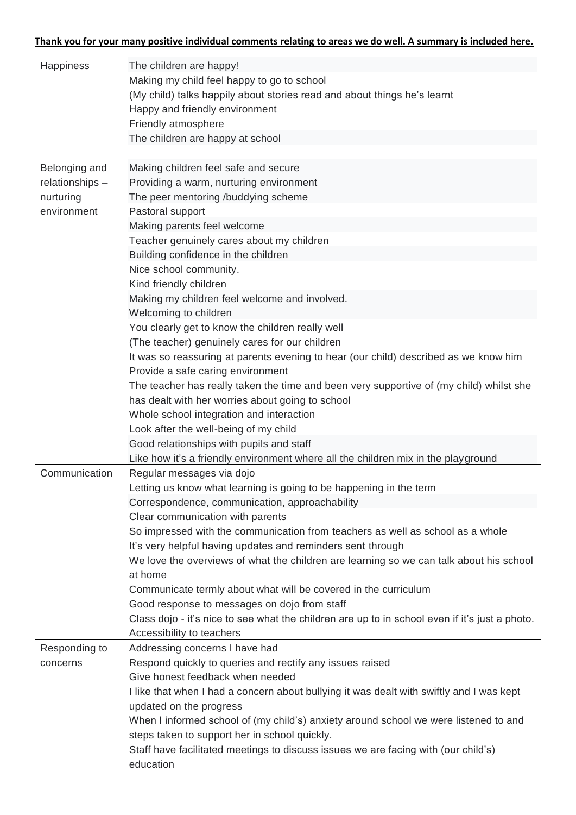| Happiness       | The children are happy!                                                                        |
|-----------------|------------------------------------------------------------------------------------------------|
|                 | Making my child feel happy to go to school                                                     |
|                 | (My child) talks happily about stories read and about things he's learnt                       |
|                 | Happy and friendly environment                                                                 |
|                 | Friendly atmosphere                                                                            |
|                 | The children are happy at school                                                               |
|                 |                                                                                                |
| Belonging and   | Making children feel safe and secure                                                           |
| relationships - | Providing a warm, nurturing environment                                                        |
| nurturing       | The peer mentoring /buddying scheme                                                            |
| environment     | Pastoral support                                                                               |
|                 | Making parents feel welcome                                                                    |
|                 | Teacher genuinely cares about my children                                                      |
|                 | Building confidence in the children                                                            |
|                 | Nice school community.                                                                         |
|                 | Kind friendly children                                                                         |
|                 | Making my children feel welcome and involved.                                                  |
|                 | Welcoming to children                                                                          |
|                 | You clearly get to know the children really well                                               |
|                 | (The teacher) genuinely cares for our children                                                 |
|                 | It was so reassuring at parents evening to hear (our child) described as we know him           |
|                 | Provide a safe caring environment                                                              |
|                 | The teacher has really taken the time and been very supportive of (my child) whilst she        |
|                 | has dealt with her worries about going to school                                               |
|                 | Whole school integration and interaction                                                       |
|                 | Look after the well-being of my child                                                          |
|                 | Good relationships with pupils and staff                                                       |
|                 | Like how it's a friendly environment where all the children mix in the playground              |
| Communication   | Regular messages via dojo                                                                      |
|                 | Letting us know what learning is going to be happening in the term                             |
|                 | Correspondence, communication, approachability                                                 |
|                 | Clear communication with parents                                                               |
|                 | So impressed with the communication from teachers as well as school as a whole                 |
|                 | It's very helpful having updates and reminders sent through                                    |
|                 | We love the overviews of what the children are learning so we can talk about his school        |
|                 | at home                                                                                        |
|                 | Communicate termly about what will be covered in the curriculum                                |
|                 | Good response to messages on dojo from staff                                                   |
|                 | Class dojo - it's nice to see what the children are up to in school even if it's just a photo. |
|                 | Accessibility to teachers                                                                      |
| Responding to   | Addressing concerns I have had                                                                 |
| concerns        | Respond quickly to queries and rectify any issues raised                                       |
|                 | Give honest feedback when needed                                                               |
|                 | I like that when I had a concern about bullying it was dealt with swiftly and I was kept       |
|                 | updated on the progress                                                                        |
|                 | When I informed school of (my child's) anxiety around school we were listened to and           |
|                 | steps taken to support her in school quickly.                                                  |
|                 | Staff have facilitated meetings to discuss issues we are facing with (our child's)             |
|                 | education                                                                                      |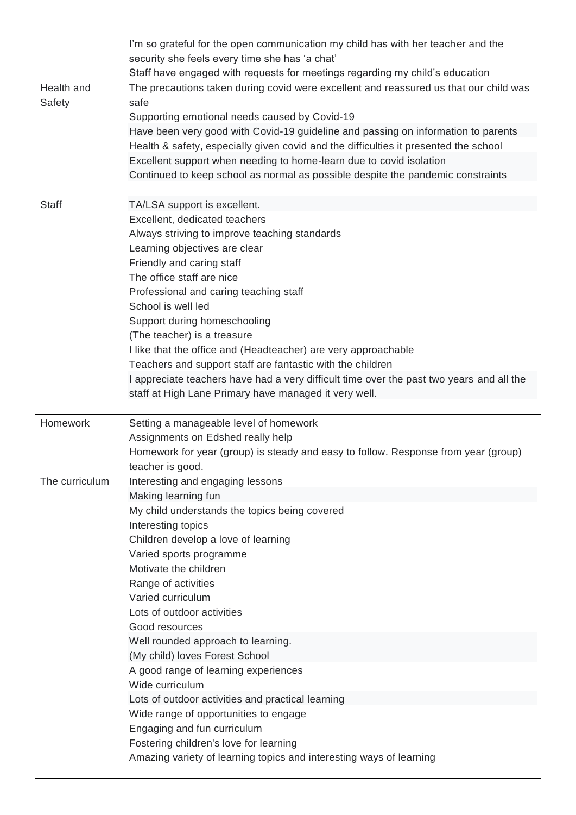|                      | I'm so grateful for the open communication my child has with her teacher and the              |
|----------------------|-----------------------------------------------------------------------------------------------|
|                      | security she feels every time she has 'a chat'                                                |
|                      | Staff have engaged with requests for meetings regarding my child's education                  |
| Health and<br>Safety | The precautions taken during covid were excellent and reassured us that our child was<br>safe |
|                      | Supporting emotional needs caused by Covid-19                                                 |
|                      | Have been very good with Covid-19 guideline and passing on information to parents             |
|                      | Health & safety, especially given covid and the difficulties it presented the school          |
|                      | Excellent support when needing to home-learn due to covid isolation                           |
|                      | Continued to keep school as normal as possible despite the pandemic constraints               |
|                      |                                                                                               |
| Staff                | TA/LSA support is excellent.                                                                  |
|                      | Excellent, dedicated teachers                                                                 |
|                      | Always striving to improve teaching standards                                                 |
|                      | Learning objectives are clear                                                                 |
|                      | Friendly and caring staff                                                                     |
|                      | The office staff are nice                                                                     |
|                      | Professional and caring teaching staff<br>School is well led                                  |
|                      | Support during homeschooling                                                                  |
|                      | (The teacher) is a treasure                                                                   |
|                      | I like that the office and (Headteacher) are very approachable                                |
|                      | Teachers and support staff are fantastic with the children                                    |
|                      | I appreciate teachers have had a very difficult time over the past two years and all the      |
|                      | staff at High Lane Primary have managed it very well.                                         |
|                      |                                                                                               |
| Homework             | Setting a manageable level of homework                                                        |
|                      | Assignments on Edshed really help                                                             |
|                      | Homework for year (group) is steady and easy to follow. Response from year (group)            |
|                      | teacher is good.                                                                              |
| The curriculum       | Interesting and engaging lessons<br>Making learning fun                                       |
|                      | My child understands the topics being covered                                                 |
|                      | Interesting topics                                                                            |
|                      | Children develop a love of learning                                                           |
|                      | Varied sports programme                                                                       |
|                      | Motivate the children                                                                         |
|                      | Range of activities                                                                           |
|                      | Varied curriculum                                                                             |
|                      | Lots of outdoor activities                                                                    |
|                      | Good resources                                                                                |
|                      | Well rounded approach to learning.                                                            |
|                      | (My child) loves Forest School                                                                |
|                      | A good range of learning experiences                                                          |
|                      | Wide curriculum                                                                               |
|                      | Lots of outdoor activities and practical learning                                             |
|                      | Wide range of opportunities to engage                                                         |
|                      | Engaging and fun curriculum                                                                   |
|                      | Fostering children's love for learning                                                        |
|                      | Amazing variety of learning topics and interesting ways of learning                           |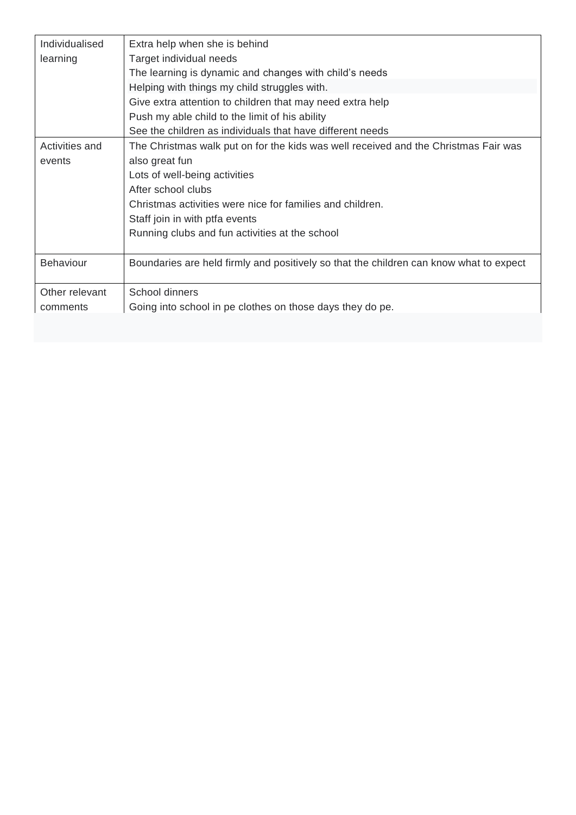| Individualised   | Extra help when she is behind                                                          |
|------------------|----------------------------------------------------------------------------------------|
| learning         | Target individual needs                                                                |
|                  | The learning is dynamic and changes with child's needs                                 |
|                  | Helping with things my child struggles with.                                           |
|                  | Give extra attention to children that may need extra help                              |
|                  | Push my able child to the limit of his ability                                         |
|                  | See the children as individuals that have different needs                              |
| Activities and   | The Christmas walk put on for the kids was well received and the Christmas Fair was    |
| events           | also great fun                                                                         |
|                  | Lots of well-being activities                                                          |
|                  | After school clubs                                                                     |
|                  | Christmas activities were nice for families and children.                              |
|                  | Staff join in with ptfa events                                                         |
|                  | Running clubs and fun activities at the school                                         |
|                  |                                                                                        |
| <b>Behaviour</b> | Boundaries are held firmly and positively so that the children can know what to expect |
|                  |                                                                                        |
| Other relevant   | School dinners                                                                         |
| comments         | Going into school in pe clothes on those days they do pe.                              |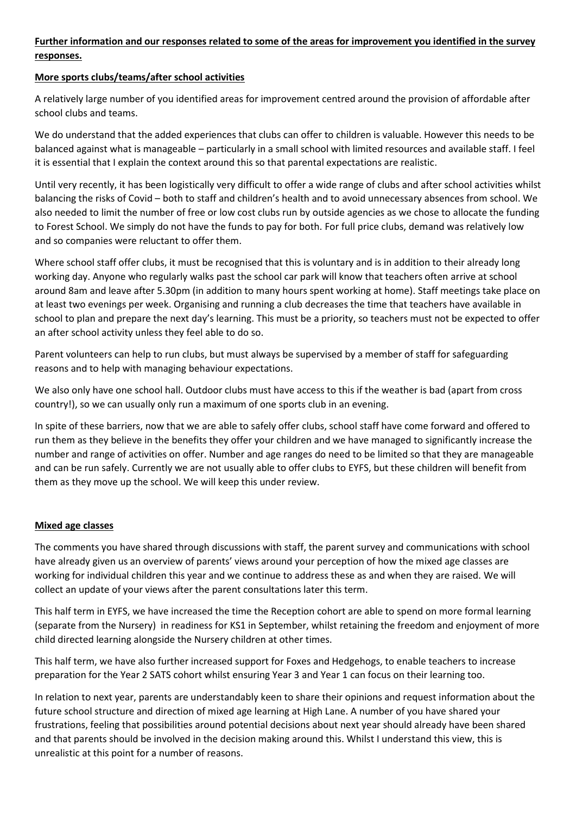# **Further information and our responses related to some of the areas for improvement you identified in the survey responses.**

## **More sports clubs/teams/after school activities**

A relatively large number of you identified areas for improvement centred around the provision of affordable after school clubs and teams.

We do understand that the added experiences that clubs can offer to children is valuable. However this needs to be balanced against what is manageable – particularly in a small school with limited resources and available staff. I feel it is essential that I explain the context around this so that parental expectations are realistic.

Until very recently, it has been logistically very difficult to offer a wide range of clubs and after school activities whilst balancing the risks of Covid – both to staff and children's health and to avoid unnecessary absences from school. We also needed to limit the number of free or low cost clubs run by outside agencies as we chose to allocate the funding to Forest School. We simply do not have the funds to pay for both. For full price clubs, demand was relatively low and so companies were reluctant to offer them.

Where school staff offer clubs, it must be recognised that this is voluntary and is in addition to their already long working day. Anyone who regularly walks past the school car park will know that teachers often arrive at school around 8am and leave after 5.30pm (in addition to many hours spent working at home). Staff meetings take place on at least two evenings per week. Organising and running a club decreases the time that teachers have available in school to plan and prepare the next day's learning. This must be a priority, so teachers must not be expected to offer an after school activity unless they feel able to do so.

Parent volunteers can help to run clubs, but must always be supervised by a member of staff for safeguarding reasons and to help with managing behaviour expectations.

We also only have one school hall. Outdoor clubs must have access to this if the weather is bad (apart from cross country!), so we can usually only run a maximum of one sports club in an evening.

In spite of these barriers, now that we are able to safely offer clubs, school staff have come forward and offered to run them as they believe in the benefits they offer your children and we have managed to significantly increase the number and range of activities on offer. Number and age ranges do need to be limited so that they are manageable and can be run safely. Currently we are not usually able to offer clubs to EYFS, but these children will benefit from them as they move up the school. We will keep this under review.

## **Mixed age classes**

The comments you have shared through discussions with staff, the parent survey and communications with school have already given us an overview of parents' views around your perception of how the mixed age classes are working for individual children this year and we continue to address these as and when they are raised. We will collect an update of your views after the parent consultations later this term.

This half term in EYFS, we have increased the time the Reception cohort are able to spend on more formal learning (separate from the Nursery) in readiness for KS1 in September, whilst retaining the freedom and enjoyment of more child directed learning alongside the Nursery children at other times.

This half term, we have also further increased support for Foxes and Hedgehogs, to enable teachers to increase preparation for the Year 2 SATS cohort whilst ensuring Year 3 and Year 1 can focus on their learning too.

In relation to next year, parents are understandably keen to share their opinions and request information about the future school structure and direction of mixed age learning at High Lane. A number of you have shared your frustrations, feeling that possibilities around potential decisions about next year should already have been shared and that parents should be involved in the decision making around this. Whilst I understand this view, this is unrealistic at this point for a number of reasons.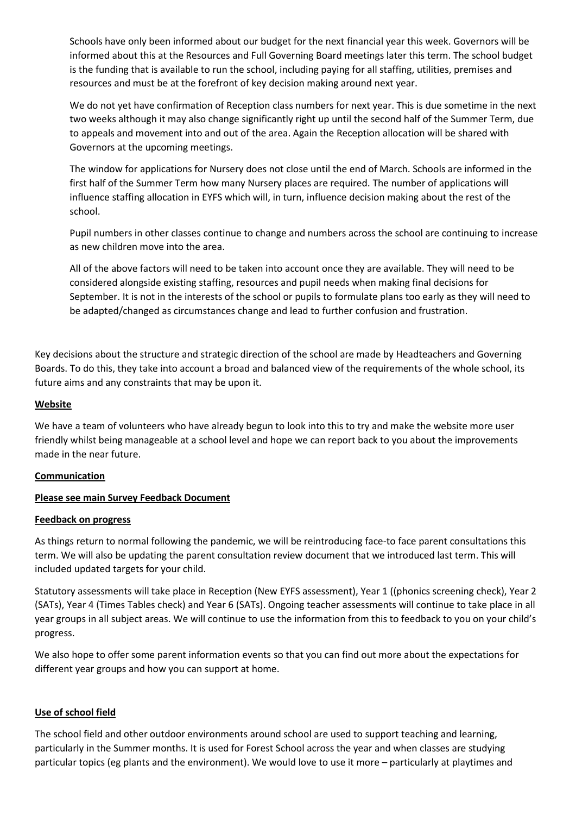Schools have only been informed about our budget for the next financial year this week. Governors will be informed about this at the Resources and Full Governing Board meetings later this term. The school budget is the funding that is available to run the school, including paying for all staffing, utilities, premises and resources and must be at the forefront of key decision making around next year.

We do not yet have confirmation of Reception class numbers for next year. This is due sometime in the next two weeks although it may also change significantly right up until the second half of the Summer Term, due to appeals and movement into and out of the area. Again the Reception allocation will be shared with Governors at the upcoming meetings.

The window for applications for Nursery does not close until the end of March. Schools are informed in the first half of the Summer Term how many Nursery places are required. The number of applications will influence staffing allocation in EYFS which will, in turn, influence decision making about the rest of the school.

Pupil numbers in other classes continue to change and numbers across the school are continuing to increase as new children move into the area.

All of the above factors will need to be taken into account once they are available. They will need to be considered alongside existing staffing, resources and pupil needs when making final decisions for September. It is not in the interests of the school or pupils to formulate plans too early as they will need to be adapted/changed as circumstances change and lead to further confusion and frustration.

Key decisions about the structure and strategic direction of the school are made by Headteachers and Governing Boards. To do this, they take into account a broad and balanced view of the requirements of the whole school, its future aims and any constraints that may be upon it.

#### **Website**

We have a team of volunteers who have already begun to look into this to try and make the website more user friendly whilst being manageable at a school level and hope we can report back to you about the improvements made in the near future.

#### **Communication**

## **Please see main Survey Feedback Document**

#### **Feedback on progress**

As things return to normal following the pandemic, we will be reintroducing face-to face parent consultations this term. We will also be updating the parent consultation review document that we introduced last term. This will included updated targets for your child.

Statutory assessments will take place in Reception (New EYFS assessment), Year 1 ((phonics screening check), Year 2 (SATs), Year 4 (Times Tables check) and Year 6 (SATs). Ongoing teacher assessments will continue to take place in all year groups in all subject areas. We will continue to use the information from this to feedback to you on your child's progress.

We also hope to offer some parent information events so that you can find out more about the expectations for different year groups and how you can support at home.

#### **Use of school field**

The school field and other outdoor environments around school are used to support teaching and learning, particularly in the Summer months. It is used for Forest School across the year and when classes are studying particular topics (eg plants and the environment). We would love to use it more – particularly at playtimes and